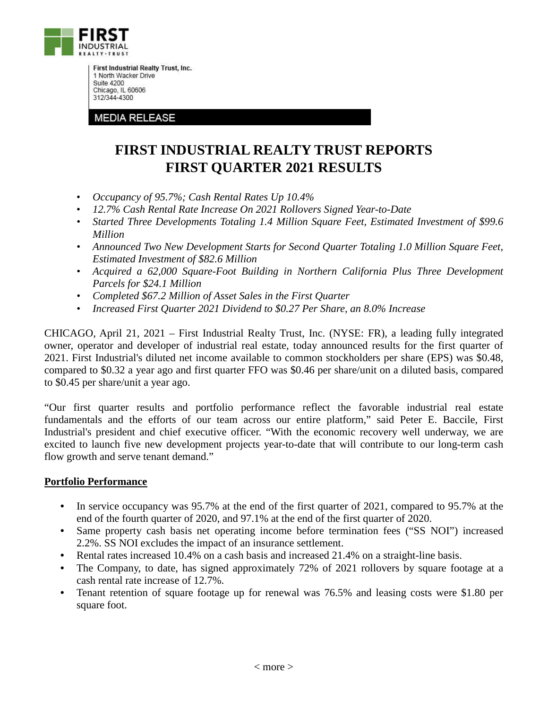

First Industrial Realty Trust, Inc. 1 North Wacker Drive **Suite 4200** Chicago, IL 60606 312/344-4300

**MEDIA RELEASE** 

# **FIRST INDUSTRIAL REALTY TRUST REPORTS FIRST QUARTER 2021 RESULTS**

- *Occupancy of 95.7%; Cash Rental Rates Up 10.4%*
- *12.7% Cash Rental Rate Increase On 2021 Rollovers Signed Year-to-Date*
- *• Started Three Developments Totaling 1.4 Million Square Feet, Estimated Investment of \$99.6 Million*
- *• Announced Two New Development Starts for Second Quarter Totaling 1.0 Million Square Feet, Estimated Investment of \$82.6 Million*
- *• Acquired a 62,000 Square-Foot Building in Northern California Plus Three Development Parcels for \$24.1 Million*
- *• Completed \$67.2 Million of Asset Sales in the First Quarter*
- *• Increased First Quarter 2021 Dividend to \$0.27 Per Share, an 8.0% Increase*

CHICAGO, April 21, 2021 – First Industrial Realty Trust, Inc. (NYSE: FR), a leading fully integrated owner, operator and developer of industrial real estate, today announced results for the first quarter of 2021. First Industrial's diluted net income available to common stockholders per share (EPS) was \$0.48, compared to \$0.32 a year ago and first quarter FFO was \$0.46 per share/unit on a diluted basis, compared to \$0.45 per share/unit a year ago.

"Our first quarter results and portfolio performance reflect the favorable industrial real estate fundamentals and the efforts of our team across our entire platform," said Peter E. Baccile, First Industrial's president and chief executive officer. "With the economic recovery well underway, we are excited to launch five new development projects year-to-date that will contribute to our long-term cash flow growth and serve tenant demand."

#### **Portfolio Performance**

- In service occupancy was 95.7% at the end of the first quarter of 2021, compared to 95.7% at the end of the fourth quarter of 2020, and 97.1% at the end of the first quarter of 2020.
- Same property cash basis net operating income before termination fees ("SS NOI") increased 2.2%. SS NOI excludes the impact of an insurance settlement.
- Rental rates increased 10.4% on a cash basis and increased 21.4% on a straight-line basis.
- The Company, to date, has signed approximately 72% of 2021 rollovers by square footage at a cash rental rate increase of 12.7%.
- Tenant retention of square footage up for renewal was 76.5% and leasing costs were \$1.80 per square foot.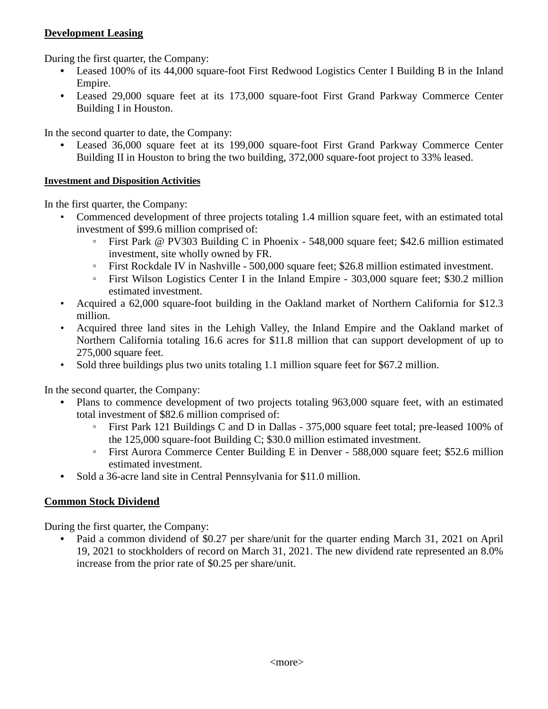## **Development Leasing**

During the first quarter, the Company:

- Leased 100% of its 44,000 square-foot First Redwood Logistics Center I Building B in the Inland Empire.
- Leased 29,000 square feet at its 173,000 square-foot First Grand Parkway Commerce Center Building I in Houston.

In the second quarter to date, the Company:

• Leased 36,000 square feet at its 199,000 square-foot First Grand Parkway Commerce Center Building II in Houston to bring the two building, 372,000 square-foot project to 33% leased.

## **Investment and Disposition Activities**

In the first quarter, the Company:

- Commenced development of three projects totaling 1.4 million square feet, with an estimated total investment of \$99.6 million comprised of:
	- First Park @ PV303 Building C in Phoenix 548,000 square feet; \$42.6 million estimated investment, site wholly owned by FR.
	- First Rockdale IV in Nashville 500,000 square feet; \$26.8 million estimated investment.
	- First Wilson Logistics Center I in the Inland Empire 303,000 square feet; \$30.2 million estimated investment.
- Acquired a 62,000 square-foot building in the Oakland market of Northern California for \$12.3 million.
- Acquired three land sites in the Lehigh Valley, the Inland Empire and the Oakland market of Northern California totaling 16.6 acres for \$11.8 million that can support development of up to 275,000 square feet.
- Sold three buildings plus two units totaling 1.1 million square feet for \$67.2 million.

In the second quarter, the Company:

- Plans to commence development of two projects totaling 963,000 square feet, with an estimated total investment of \$82.6 million comprised of:
	- First Park 121 Buildings C and D in Dallas 375,000 square feet total; pre-leased 100% of the 125,000 square-foot Building C; \$30.0 million estimated investment.
	- First Aurora Commerce Center Building E in Denver 588,000 square feet; \$52.6 million estimated investment.
- Sold a 36-acre land site in Central Pennsylvania for \$11.0 million.

## **Common Stock Dividend**

During the first quarter, the Company:

• Paid a common dividend of \$0.27 per share/unit for the quarter ending March 31, 2021 on April 19, 2021 to stockholders of record on March 31, 2021. The new dividend rate represented an 8.0% increase from the prior rate of \$0.25 per share/unit.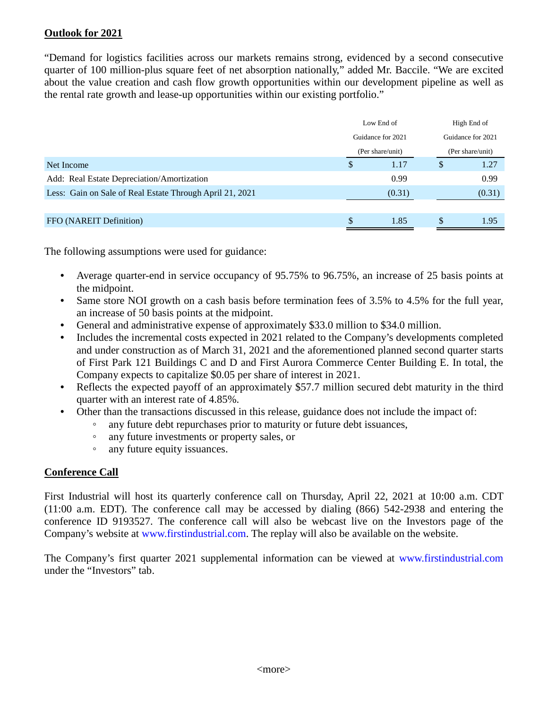## **Outlook for 2021**

"Demand for logistics facilities across our markets remains strong, evidenced by a second consecutive quarter of 100 million-plus square feet of net absorption nationally," added Mr. Baccile. "We are excited about the value creation and cash flow growth opportunities within our development pipeline as well as the rental rate growth and lease-up opportunities within our existing portfolio."

|                                                          | Low End of<br>Guidance for 2021 |        |    | High End of<br>Guidance for 2021 |  |
|----------------------------------------------------------|---------------------------------|--------|----|----------------------------------|--|
|                                                          |                                 |        |    |                                  |  |
|                                                          | (Per share/unit)                |        |    | (Per share/unit)                 |  |
| Net Income                                               | S                               | 1.17   | \$ | 1.27                             |  |
| Add: Real Estate Depreciation/Amortization               |                                 | 0.99   |    | 0.99                             |  |
| Less: Gain on Sale of Real Estate Through April 21, 2021 |                                 | (0.31) |    | (0.31)                           |  |
|                                                          |                                 |        |    |                                  |  |
| FFO (NAREIT Definition)                                  | \$                              | 1.85   | S  | 1.95                             |  |

The following assumptions were used for guidance:

- Average quarter-end in service occupancy of 95.75% to 96.75%, an increase of 25 basis points at the midpoint.
- Same store NOI growth on a cash basis before termination fees of 3.5% to 4.5% for the full year, an increase of 50 basis points at the midpoint.
- General and administrative expense of approximately \$33.0 million to \$34.0 million.
- Includes the incremental costs expected in 2021 related to the Company's developments completed and under construction as of March 31, 2021 and the aforementioned planned second quarter starts of First Park 121 Buildings C and D and First Aurora Commerce Center Building E. In total, the Company expects to capitalize \$0.05 per share of interest in 2021.
- Reflects the expected payoff of an approximately \$57.7 million secured debt maturity in the third quarter with an interest rate of 4.85%.
- Other than the transactions discussed in this release, guidance does not include the impact of:
	- any future debt repurchases prior to maturity or future debt issuances,
		- any future investments or property sales, or
		- any future equity issuances.

## **Conference Call**

First Industrial will host its quarterly conference call on Thursday, April 22, 2021 at 10:00 a.m. CDT (11:00 a.m. EDT). The conference call may be accessed by dialing (866) 542-2938 and entering the conference ID 9193527. The conference call will also be webcast live on the Investors page of the Company's website at www.firstindustrial.com. The replay will also be available on the website.

The Company's first quarter 2021 supplemental information can be viewed at www.firstindustrial.com under the "Investors" tab.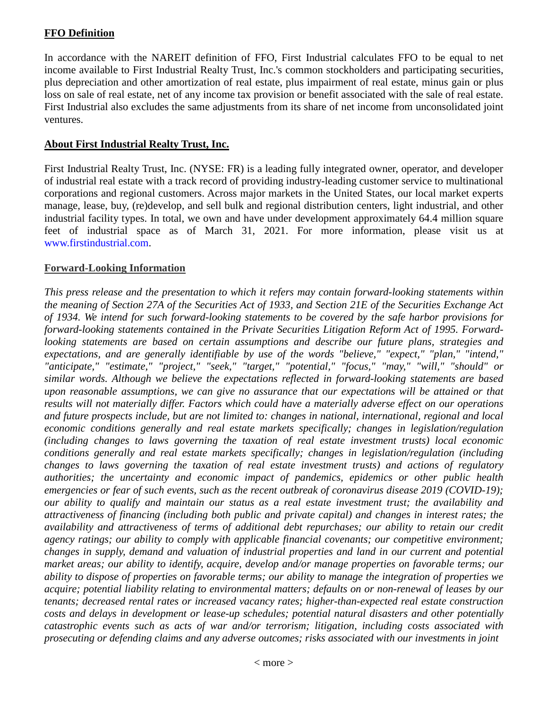### **FFO Definition**

In accordance with the NAREIT definition of FFO, First Industrial calculates FFO to be equal to net income available to First Industrial Realty Trust, Inc.'s common stockholders and participating securities, plus depreciation and other amortization of real estate, plus impairment of real estate, minus gain or plus loss on sale of real estate, net of any income tax provision or benefit associated with the sale of real estate. First Industrial also excludes the same adjustments from its share of net income from unconsolidated joint ventures.

#### **About First Industrial Realty Trust, Inc.**

First Industrial Realty Trust, Inc. (NYSE: FR) is a leading fully integrated owner, operator, and developer of industrial real estate with a track record of providing industry-leading customer service to multinational corporations and regional customers. Across major markets in the United States, our local market experts manage, lease, buy, (re)develop, and sell bulk and regional distribution centers, light industrial, and other industrial facility types. In total, we own and have under development approximately 64.4 million square feet of industrial space as of March 31, 2021. For more information, please visit us at www.firstindustrial.com.

#### **Forward-Looking Information**

*This press release and the presentation to which it refers may contain forward-looking statements within the meaning of Section 27A of the Securities Act of 1933, and Section 21E of the Securities Exchange Act of 1934. We intend for such forward-looking statements to be covered by the safe harbor provisions for forward-looking statements contained in the Private Securities Litigation Reform Act of 1995. Forwardlooking statements are based on certain assumptions and describe our future plans, strategies and expectations, and are generally identifiable by use of the words "believe," "expect," "plan," "intend," "anticipate," "estimate," "project," "seek," "target," "potential," "focus," "may," "will," "should" or similar words. Although we believe the expectations reflected in forward-looking statements are based upon reasonable assumptions, we can give no assurance that our expectations will be attained or that results will not materially differ. Factors which could have a materially adverse effect on our operations and future prospects include, but are not limited to: changes in national, international, regional and local economic conditions generally and real estate markets specifically; changes in legislation/regulation (including changes to laws governing the taxation of real estate investment trusts) local economic conditions generally and real estate markets specifically; changes in legislation/regulation (including changes to laws governing the taxation of real estate investment trusts) and actions of regulatory authorities; the uncertainty and economic impact of pandemics, epidemics or other public health emergencies or fear of such events, such as the recent outbreak of coronavirus disease 2019 (COVID-19); our ability to qualify and maintain our status as a real estate investment trust; the availability and attractiveness of financing (including both public and private capital) and changes in interest rates; the availability and attractiveness of terms of additional debt repurchases; our ability to retain our credit agency ratings; our ability to comply with applicable financial covenants; our competitive environment; changes in supply, demand and valuation of industrial properties and land in our current and potential market areas; our ability to identify, acquire, develop and/or manage properties on favorable terms; our ability to dispose of properties on favorable terms; our ability to manage the integration of properties we acquire; potential liability relating to environmental matters; defaults on or non-renewal of leases by our tenants; decreased rental rates or increased vacancy rates; higher-than-expected real estate construction costs and delays in development or lease-up schedules; potential natural disasters and other potentially catastrophic events such as acts of war and/or terrorism; litigation, including costs associated with prosecuting or defending claims and any adverse outcomes; risks associated with our investments in joint*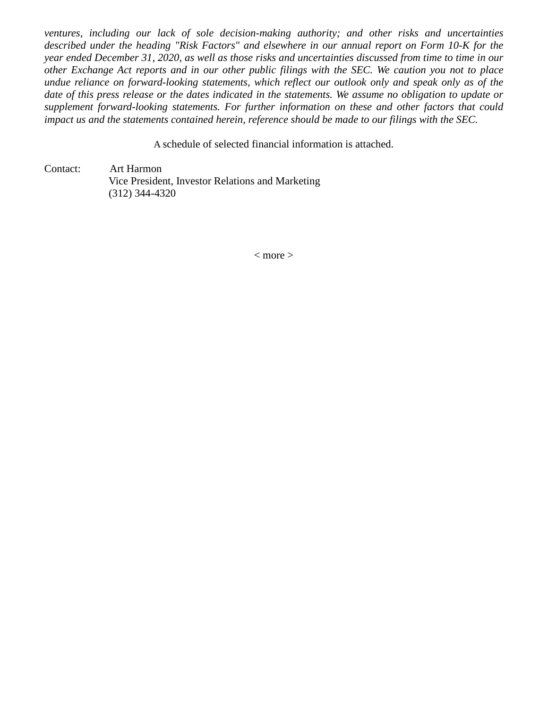*ventures, including our lack of sole decision-making authority; and other risks and uncertainties described under the heading "Risk Factors" and elsewhere in our annual report on Form 10-K for the year ended December 31, 2020, as well as those risks and uncertainties discussed from time to time in our other Exchange Act reports and in our other public filings with the SEC. We caution you not to place undue reliance on forward-looking statements, which reflect our outlook only and speak only as of the date of this press release or the dates indicated in the statements. We assume no obligation to update or supplement forward-looking statements. For further information on these and other factors that could impact us and the statements contained herein, reference should be made to our filings with the SEC.*

A schedule of selected financial information is attached.

Contact: Art Harmon Vice President, Investor Relations and Marketing (312) 344-4320

< more >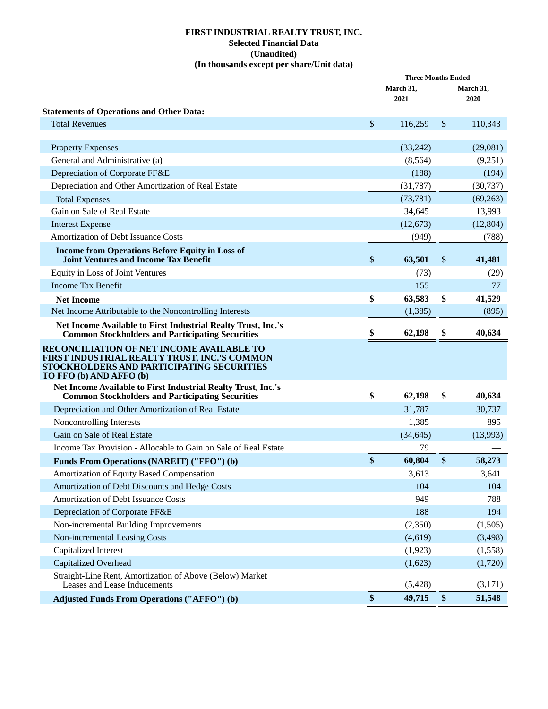#### **FIRST INDUSTRIAL REALTY TRUST, INC. Selected Financial Data (Unaudited) (In thousands except per share/Unit data)**

|                                                                                                                                                                   | <b>Three Months Ended</b> |           |               |           |
|-------------------------------------------------------------------------------------------------------------------------------------------------------------------|---------------------------|-----------|---------------|-----------|
|                                                                                                                                                                   |                           | March 31, |               | March 31, |
|                                                                                                                                                                   |                           | 2021      |               | 2020      |
| <b>Statements of Operations and Other Data:</b>                                                                                                                   |                           |           |               |           |
| <b>Total Revenues</b>                                                                                                                                             | \$                        | 116,259   | $\mathcal{S}$ | 110,343   |
| <b>Property Expenses</b>                                                                                                                                          |                           | (33,242)  |               | (29,081)  |
| General and Administrative (a)                                                                                                                                    |                           | (8, 564)  |               | (9,251)   |
| Depreciation of Corporate FF&E                                                                                                                                    |                           | (188)     |               | (194)     |
| Depreciation and Other Amortization of Real Estate                                                                                                                |                           | (31, 787) |               | (30, 737) |
| <b>Total Expenses</b>                                                                                                                                             |                           | (73, 781) |               | (69,263)  |
| Gain on Sale of Real Estate                                                                                                                                       |                           | 34,645    |               | 13,993    |
| <b>Interest Expense</b>                                                                                                                                           |                           | (12, 673) |               | (12, 804) |
| Amortization of Debt Issuance Costs                                                                                                                               |                           | (949)     |               | (788)     |
| <b>Income from Operations Before Equity in Loss of</b><br><b>Joint Ventures and Income Tax Benefit</b>                                                            | \$                        | 63,501    | \$            | 41,481    |
| Equity in Loss of Joint Ventures                                                                                                                                  |                           | (73)      |               | (29)      |
| <b>Income Tax Benefit</b>                                                                                                                                         |                           | 155       |               | 77        |
| <b>Net Income</b>                                                                                                                                                 | \$                        | 63,583    | \$            | 41,529    |
| Net Income Attributable to the Noncontrolling Interests                                                                                                           |                           | (1,385)   |               | (895)     |
| Net Income Available to First Industrial Realty Trust, Inc.'s<br><b>Common Stockholders and Participating Securities</b>                                          |                           | 62,198    | \$            | 40,634    |
| RECONCILIATION OF NET INCOME AVAILABLE TO<br>FIRST INDUSTRIAL REALTY TRUST, INC.'S COMMON<br>STOCKHOLDERS AND PARTICIPATING SECURITIES<br>TO FFO (b) AND AFFO (b) |                           |           |               |           |
| Net Income Available to First Industrial Realty Trust, Inc.'s<br><b>Common Stockholders and Participating Securities</b>                                          | \$                        | 62,198    | \$            | 40,634    |
| Depreciation and Other Amortization of Real Estate                                                                                                                |                           | 31,787    |               | 30,737    |
| Noncontrolling Interests                                                                                                                                          |                           | 1,385     |               | 895       |
| Gain on Sale of Real Estate                                                                                                                                       |                           | (34, 645) |               | (13,993)  |
| Income Tax Provision - Allocable to Gain on Sale of Real Estate                                                                                                   |                           | 79        |               |           |
| <b>Funds From Operations (NAREIT) ("FFO") (b)</b>                                                                                                                 | \$                        | 60,804    | \$            | 58,273    |
| Amortization of Equity Based Compensation                                                                                                                         |                           | 3,613     |               | 3,641     |
| Amortization of Debt Discounts and Hedge Costs                                                                                                                    |                           | 104       |               | 104       |
| Amortization of Debt Issuance Costs                                                                                                                               |                           | 949       |               | 788       |
| Depreciation of Corporate FF&E                                                                                                                                    |                           | 188       |               | 194       |
| Non-incremental Building Improvements                                                                                                                             |                           | (2,350)   |               | (1,505)   |
| Non-incremental Leasing Costs                                                                                                                                     |                           | (4,619)   |               | (3, 498)  |
| Capitalized Interest                                                                                                                                              |                           | (1,923)   |               | (1,558)   |
| <b>Capitalized Overhead</b>                                                                                                                                       |                           | (1,623)   |               | (1,720)   |
| Straight-Line Rent, Amortization of Above (Below) Market<br>Leases and Lease Inducements                                                                          |                           | (5, 428)  |               | (3,171)   |
| <b>Adjusted Funds From Operations ("AFFO") (b)</b>                                                                                                                | \$                        | 49,715    | \$            | 51,548    |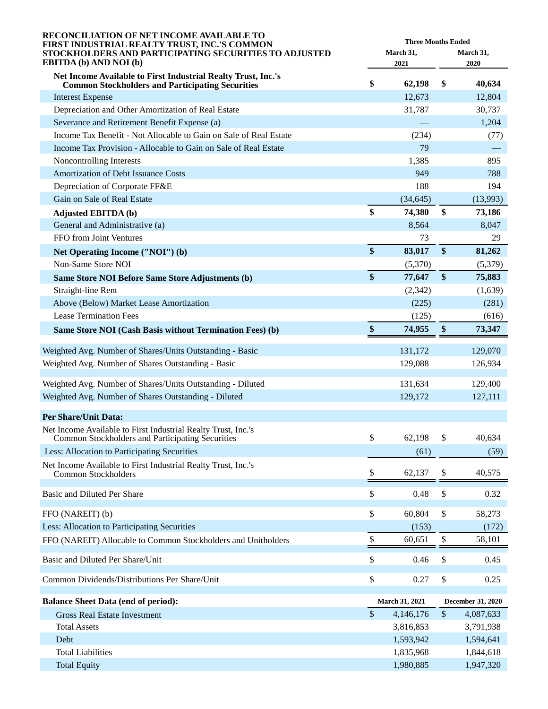| RECONCILIATION OF NET INCOME AVAILABLE TO<br>FIRST INDUSTRIAL REALTY TRUST, INC.'S COMMON                                | <b>Three Months Ended</b> |                |                           |                   |
|--------------------------------------------------------------------------------------------------------------------------|---------------------------|----------------|---------------------------|-------------------|
| STOCKHOLDERS AND PARTICIPATING SECURITIES TO ADJUSTED<br><b>EBITDA</b> (b) AND NOI (b)                                   | March 31,<br>2021         |                | March 31,<br>2020         |                   |
| Net Income Available to First Industrial Realty Trust, Inc.'s<br><b>Common Stockholders and Participating Securities</b> | \$                        | 62,198         | \$                        | 40,634            |
| <b>Interest Expense</b>                                                                                                  |                           | 12,673         |                           | 12,804            |
| Depreciation and Other Amortization of Real Estate                                                                       |                           | 31,787         |                           | 30,737            |
| Severance and Retirement Benefit Expense (a)                                                                             |                           |                |                           | 1,204             |
| Income Tax Benefit - Not Allocable to Gain on Sale of Real Estate                                                        |                           | (234)          |                           | (77)              |
| Income Tax Provision - Allocable to Gain on Sale of Real Estate                                                          |                           | 79             |                           |                   |
| Noncontrolling Interests                                                                                                 |                           | 1,385          |                           | 895               |
| Amortization of Debt Issuance Costs                                                                                      |                           | 949            |                           | 788               |
| Depreciation of Corporate FF&E                                                                                           |                           | 188            |                           | 194               |
| Gain on Sale of Real Estate                                                                                              |                           | (34, 645)      |                           | (13,993)          |
| <b>Adjusted EBITDA (b)</b>                                                                                               | \$                        | 74,380         | \$                        | 73,186            |
| General and Administrative (a)                                                                                           |                           | 8,564          |                           | 8,047             |
| FFO from Joint Ventures                                                                                                  |                           | 73             |                           | 29                |
| Net Operating Income ("NOI") (b)                                                                                         | \$                        | 83,017         | $\boldsymbol{\$}$         | 81,262            |
| Non-Same Store NOI                                                                                                       |                           | (5,370)        |                           | (5,379)           |
| Same Store NOI Before Same Store Adjustments (b)                                                                         | \$                        | 77,647         | \$                        | 75,883            |
| Straight-line Rent                                                                                                       |                           | (2, 342)       |                           | (1,639)           |
| Above (Below) Market Lease Amortization                                                                                  |                           | (225)          |                           | (281)             |
| <b>Lease Termination Fees</b>                                                                                            |                           | (125)          |                           | (616)             |
| Same Store NOI (Cash Basis without Termination Fees) (b)                                                                 | \$                        | 74,955         | \$                        | 73,347            |
| Weighted Avg. Number of Shares/Units Outstanding - Basic                                                                 |                           | 131,172        |                           | 129,070           |
| Weighted Avg. Number of Shares Outstanding - Basic                                                                       |                           | 129,088        |                           | 126,934           |
| Weighted Avg. Number of Shares/Units Outstanding - Diluted                                                               |                           | 131,634        |                           | 129,400           |
| Weighted Avg. Number of Shares Outstanding - Diluted                                                                     |                           | 129,172        |                           | 127,111           |
| <b>Per Share/Unit Data:</b>                                                                                              |                           |                |                           |                   |
| Net Income Available to First Industrial Realty Trust, Inc.'s                                                            |                           |                |                           |                   |
| Common Stockholders and Participating Securities                                                                         | \$                        | 62,198         | \$                        | 40,634            |
| Less: Allocation to Participating Securities                                                                             |                           | (61)           |                           | (59)              |
| Net Income Available to First Industrial Realty Trust, Inc.'s<br>Common Stockholders                                     | \$                        | 62,137         | \$                        | 40,575            |
| Basic and Diluted Per Share                                                                                              | \$                        | 0.48           | \$                        | 0.32              |
| FFO (NAREIT) (b)                                                                                                         | \$                        | 60,804         | \$                        | 58,273            |
| Less: Allocation to Participating Securities                                                                             |                           | (153)          |                           | (172)             |
| FFO (NAREIT) Allocable to Common Stockholders and Unitholders                                                            | \$                        | 60,651         | \$                        | 58,101            |
| Basic and Diluted Per Share/Unit                                                                                         | \$                        | 0.46           | \$                        | 0.45              |
| Common Dividends/Distributions Per Share/Unit                                                                            | \$                        | 0.27           | \$                        | 0.25              |
| <b>Balance Sheet Data (end of period):</b>                                                                               |                           | March 31, 2021 |                           | December 31, 2020 |
| <b>Gross Real Estate Investment</b>                                                                                      | $\mathcal{S}$             | 4,146,176      | $\boldsymbol{\mathsf{S}}$ | 4,087,633         |
| <b>Total Assets</b>                                                                                                      |                           | 3,816,853      |                           | 3,791,938         |
| Debt                                                                                                                     |                           | 1,593,942      |                           | 1,594,641         |
| <b>Total Liabilities</b>                                                                                                 |                           | 1,835,968      |                           | 1,844,618         |
| <b>Total Equity</b>                                                                                                      |                           | 1,980,885      |                           | 1,947,320         |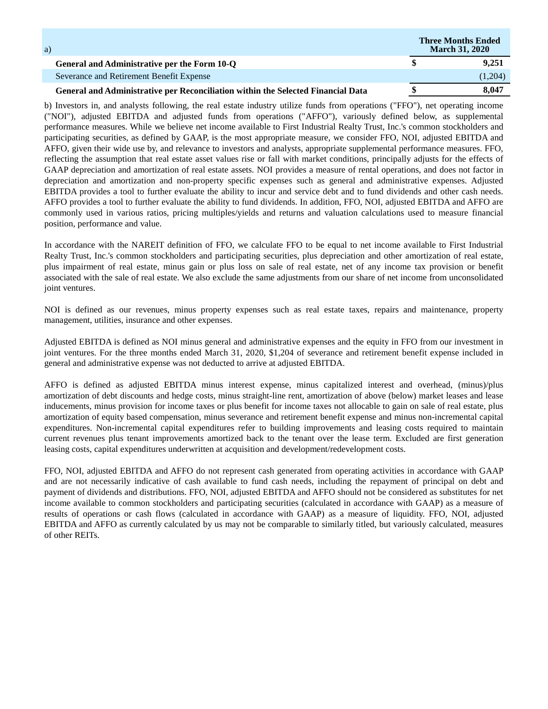| a)                                                                               | <b>Three Months Ended</b><br><b>March 31, 2020</b> |  |
|----------------------------------------------------------------------------------|----------------------------------------------------|--|
| General and Administrative per the Form 10-Q                                     | 9.251                                              |  |
| Severance and Retirement Benefit Expense                                         | (1,204)                                            |  |
| General and Administrative per Reconciliation within the Selected Financial Data | 8.047                                              |  |

b) Investors in, and analysts following, the real estate industry utilize funds from operations ("FFO"), net operating income ("NOI"), adjusted EBITDA and adjusted funds from operations ("AFFO"), variously defined below, as supplemental performance measures. While we believe net income available to First Industrial Realty Trust, Inc.'s common stockholders and participating securities, as defined by GAAP, is the most appropriate measure, we consider FFO, NOI, adjusted EBITDA and AFFO, given their wide use by, and relevance to investors and analysts, appropriate supplemental performance measures. FFO, reflecting the assumption that real estate asset values rise or fall with market conditions, principally adjusts for the effects of GAAP depreciation and amortization of real estate assets. NOI provides a measure of rental operations, and does not factor in depreciation and amortization and non-property specific expenses such as general and administrative expenses. Adjusted EBITDA provides a tool to further evaluate the ability to incur and service debt and to fund dividends and other cash needs. AFFO provides a tool to further evaluate the ability to fund dividends. In addition, FFO, NOI, adjusted EBITDA and AFFO are commonly used in various ratios, pricing multiples/yields and returns and valuation calculations used to measure financial position, performance and value.

In accordance with the NAREIT definition of FFO, we calculate FFO to be equal to net income available to First Industrial Realty Trust, Inc.'s common stockholders and participating securities, plus depreciation and other amortization of real estate, plus impairment of real estate, minus gain or plus loss on sale of real estate, net of any income tax provision or benefit associated with the sale of real estate. We also exclude the same adjustments from our share of net income from unconsolidated joint ventures.

NOI is defined as our revenues, minus property expenses such as real estate taxes, repairs and maintenance, property management, utilities, insurance and other expenses.

Adjusted EBITDA is defined as NOI minus general and administrative expenses and the equity in FFO from our investment in joint ventures. For the three months ended March 31, 2020, \$1,204 of severance and retirement benefit expense included in general and administrative expense was not deducted to arrive at adjusted EBITDA.

AFFO is defined as adjusted EBITDA minus interest expense, minus capitalized interest and overhead, (minus)/plus amortization of debt discounts and hedge costs, minus straight-line rent, amortization of above (below) market leases and lease inducements, minus provision for income taxes or plus benefit for income taxes not allocable to gain on sale of real estate, plus amortization of equity based compensation, minus severance and retirement benefit expense and minus non-incremental capital expenditures. Non-incremental capital expenditures refer to building improvements and leasing costs required to maintain current revenues plus tenant improvements amortized back to the tenant over the lease term. Excluded are first generation leasing costs, capital expenditures underwritten at acquisition and development/redevelopment costs.

FFO, NOI, adjusted EBITDA and AFFO do not represent cash generated from operating activities in accordance with GAAP and are not necessarily indicative of cash available to fund cash needs, including the repayment of principal on debt and payment of dividends and distributions. FFO, NOI, adjusted EBITDA and AFFO should not be considered as substitutes for net income available to common stockholders and participating securities (calculated in accordance with GAAP) as a measure of results of operations or cash flows (calculated in accordance with GAAP) as a measure of liquidity. FFO, NOI, adjusted EBITDA and AFFO as currently calculated by us may not be comparable to similarly titled, but variously calculated, measures of other REITs.